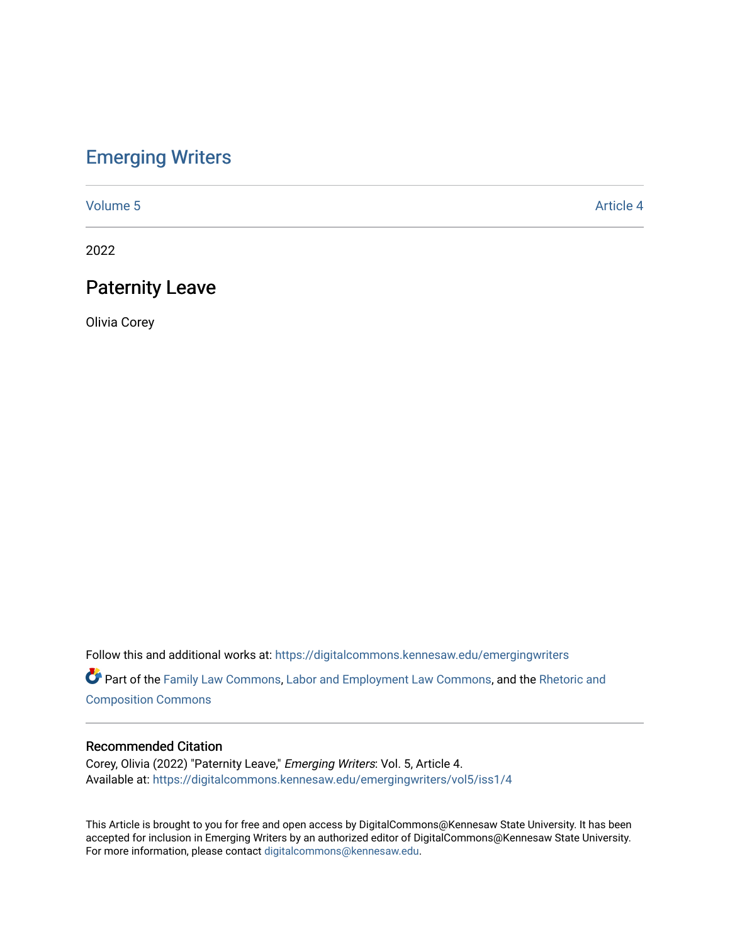# [Emerging Writers](https://digitalcommons.kennesaw.edu/emergingwriters)

[Volume 5](https://digitalcommons.kennesaw.edu/emergingwriters/vol5) Article 4

2022

## Paternity Leave

Olivia Corey

Follow this and additional works at: [https://digitalcommons.kennesaw.edu/emergingwriters](https://digitalcommons.kennesaw.edu/emergingwriters?utm_source=digitalcommons.kennesaw.edu%2Femergingwriters%2Fvol5%2Fiss1%2F4&utm_medium=PDF&utm_campaign=PDFCoverPages) 

Part of the [Family Law Commons,](http://network.bepress.com/hgg/discipline/602?utm_source=digitalcommons.kennesaw.edu%2Femergingwriters%2Fvol5%2Fiss1%2F4&utm_medium=PDF&utm_campaign=PDFCoverPages) [Labor and Employment Law Commons](http://network.bepress.com/hgg/discipline/909?utm_source=digitalcommons.kennesaw.edu%2Femergingwriters%2Fvol5%2Fiss1%2F4&utm_medium=PDF&utm_campaign=PDFCoverPages), and the [Rhetoric and](http://network.bepress.com/hgg/discipline/573?utm_source=digitalcommons.kennesaw.edu%2Femergingwriters%2Fvol5%2Fiss1%2F4&utm_medium=PDF&utm_campaign=PDFCoverPages) [Composition Commons](http://network.bepress.com/hgg/discipline/573?utm_source=digitalcommons.kennesaw.edu%2Femergingwriters%2Fvol5%2Fiss1%2F4&utm_medium=PDF&utm_campaign=PDFCoverPages)

### Recommended Citation

Corey, Olivia (2022) "Paternity Leave," Emerging Writers: Vol. 5, Article 4. Available at: [https://digitalcommons.kennesaw.edu/emergingwriters/vol5/iss1/4](https://digitalcommons.kennesaw.edu/emergingwriters/vol5/iss1/4?utm_source=digitalcommons.kennesaw.edu%2Femergingwriters%2Fvol5%2Fiss1%2F4&utm_medium=PDF&utm_campaign=PDFCoverPages) 

This Article is brought to you for free and open access by DigitalCommons@Kennesaw State University. It has been accepted for inclusion in Emerging Writers by an authorized editor of DigitalCommons@Kennesaw State University. For more information, please contact [digitalcommons@kennesaw.edu.](mailto:digitalcommons@kennesaw.edu)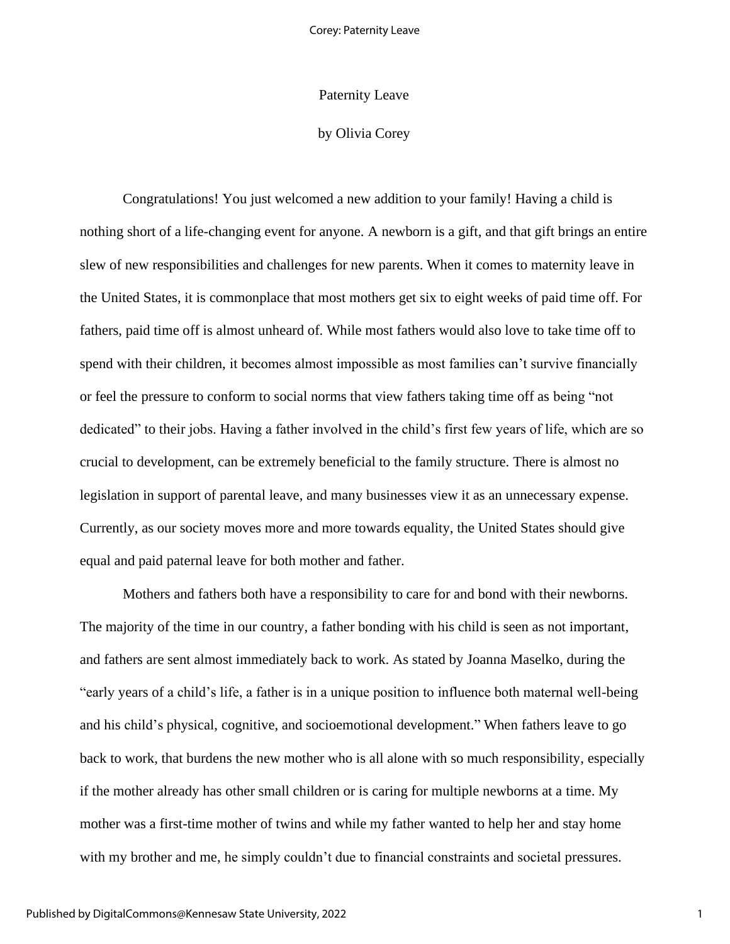#### Paternity Leave

### by Olivia Corey

Congratulations! You just welcomed a new addition to your family! Having a child is nothing short of a life-changing event for anyone. A newborn is a gift, and that gift brings an entire slew of new responsibilities and challenges for new parents. When it comes to maternity leave in the United States, it is commonplace that most mothers get six to eight weeks of paid time off. For fathers, paid time off is almost unheard of. While most fathers would also love to take time off to spend with their children, it becomes almost impossible as most families can't survive financially or feel the pressure to conform to social norms that view fathers taking time off as being "not dedicated" to their jobs. Having a father involved in the child's first few years of life, which are so crucial to development, can be extremely beneficial to the family structure. There is almost no legislation in support of parental leave, and many businesses view it as an unnecessary expense. Currently, as our society moves more and more towards equality, the United States should give equal and paid paternal leave for both mother and father.

Mothers and fathers both have a responsibility to care for and bond with their newborns. The majority of the time in our country, a father bonding with his child is seen as not important, and fathers are sent almost immediately back to work. As stated by Joanna Maselko, during the "early years of a child's life, a father is in a unique position to influence both maternal well-being and his child's physical, cognitive, and socioemotional development." When fathers leave to go back to work, that burdens the new mother who is all alone with so much responsibility, especially if the mother already has other small children or is caring for multiple newborns at a time. My mother was a first-time mother of twins and while my father wanted to help her and stay home with my brother and me, he simply couldn't due to financial constraints and societal pressures.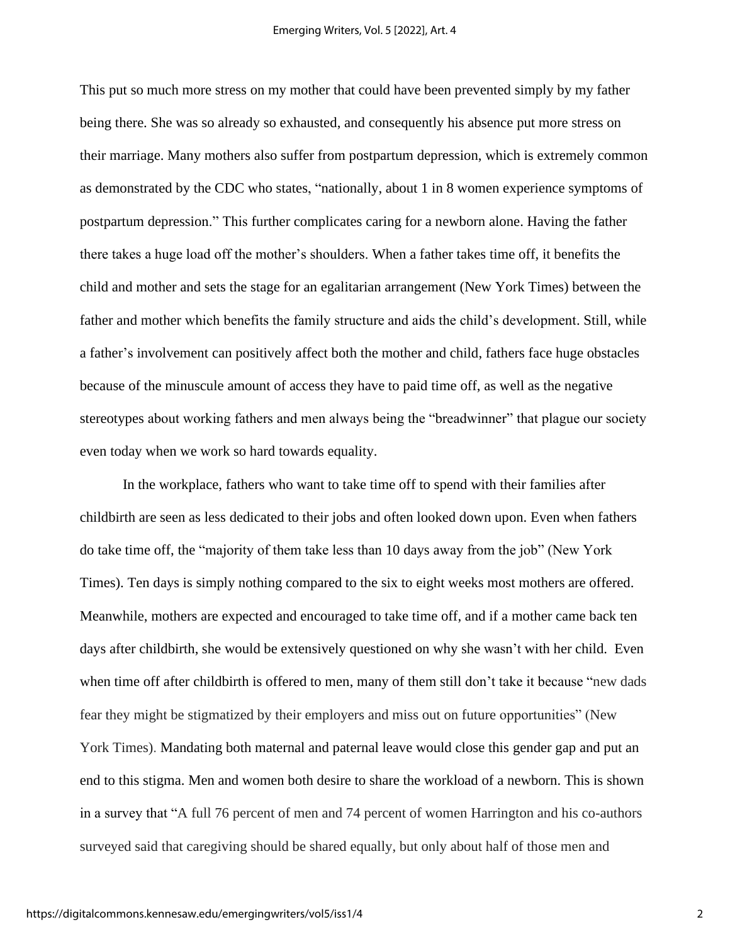This put so much more stress on my mother that could have been prevented simply by my father being there. She was so already so exhausted, and consequently his absence put more stress on their marriage. Many mothers also suffer from postpartum depression, which is extremely common as demonstrated by the CDC who states, "nationally, about 1 in 8 women experience symptoms of postpartum depression." This further complicates caring for a newborn alone. Having the father there takes a huge load off the mother's shoulders. When a father takes time off, it benefits the child and mother and sets the stage for an egalitarian arrangement (New York Times) between the father and mother which benefits the family structure and aids the child's development. Still, while a father's involvement can positively affect both the mother and child, fathers face huge obstacles because of the minuscule amount of access they have to paid time off, as well as the negative stereotypes about working fathers and men always being the "breadwinner" that plague our society even today when we work so hard towards equality.

In the workplace, fathers who want to take time off to spend with their families after childbirth are seen as less dedicated to their jobs and often looked down upon. Even when fathers do take time off, the "majority of them take less than 10 days away from the job" (New York Times). Ten days is simply nothing compared to the six to eight weeks most mothers are offered. Meanwhile, mothers are expected and encouraged to take time off, and if a mother came back ten days after childbirth, she would be extensively questioned on why she wasn't with her child. Even when time off after childbirth is offered to men, many of them still don't take it because "new dads fear they might be stigmatized by their employers and miss out on future opportunities" (New York Times). Mandating both maternal and paternal leave would close this gender gap and put an end to this stigma. Men and women both desire to share the workload of a newborn. This is shown in a survey that "A full 76 percent of men and 74 percent of women Harrington and his co-authors surveyed said that caregiving should be shared equally, but only about half of those men and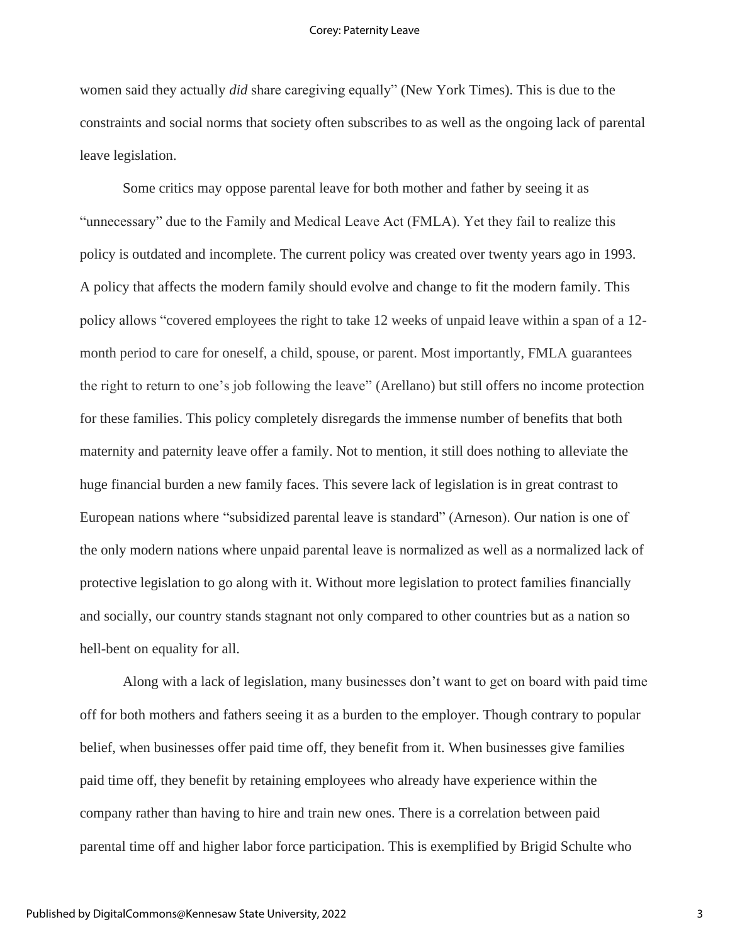women said they actually *did* share caregiving equally" (New York Times). This is due to the constraints and social norms that society often subscribes to as well as the ongoing lack of parental leave legislation.

Some critics may oppose parental leave for both mother and father by seeing it as "unnecessary" due to the Family and Medical Leave Act (FMLA). Yet they fail to realize this policy is outdated and incomplete. The current policy was created over twenty years ago in 1993. A policy that affects the modern family should evolve and change to fit the modern family. This policy allows "covered employees the right to take 12 weeks of unpaid leave within a span of a 12 month period to care for oneself, a child, spouse, or parent. Most importantly, FMLA guarantees the right to return to one's job following the leave" (Arellano) but still offers no income protection for these families. This policy completely disregards the immense number of benefits that both maternity and paternity leave offer a family. Not to mention, it still does nothing to alleviate the huge financial burden a new family faces. This severe lack of legislation is in great contrast to European nations where "subsidized parental leave is standard" (Arneson). Our nation is one of the only modern nations where unpaid parental leave is normalized as well as a normalized lack of protective legislation to go along with it. Without more legislation to protect families financially and socially, our country stands stagnant not only compared to other countries but as a nation so hell-bent on equality for all.

Along with a lack of legislation, many businesses don't want to get on board with paid time off for both mothers and fathers seeing it as a burden to the employer. Though contrary to popular belief, when businesses offer paid time off, they benefit from it. When businesses give families paid time off, they benefit by retaining employees who already have experience within the company rather than having to hire and train new ones. There is a correlation between paid parental time off and higher labor force participation. This is exemplified by Brigid Schulte who

3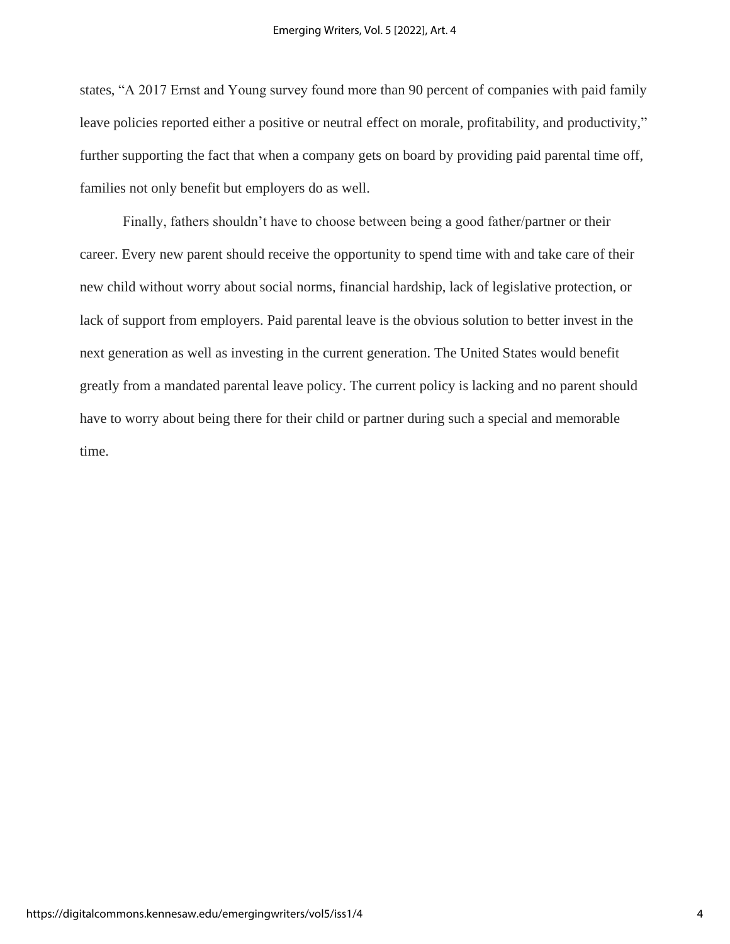states, "A 2017 Ernst and Young survey found more than 90 percent of companies with paid family leave policies reported either a positive or neutral effect on morale, profitability, and productivity," further supporting the fact that when a company gets on board by providing paid parental time off, families not only benefit but employers do as well.

Finally, fathers shouldn't have to choose between being a good father/partner or their career. Every new parent should receive the opportunity to spend time with and take care of their new child without worry about social norms, financial hardship, lack of legislative protection, or lack of support from employers. Paid parental leave is the obvious solution to better invest in the next generation as well as investing in the current generation. The United States would benefit greatly from a mandated parental leave policy. The current policy is lacking and no parent should have to worry about being there for their child or partner during such a special and memorable time.